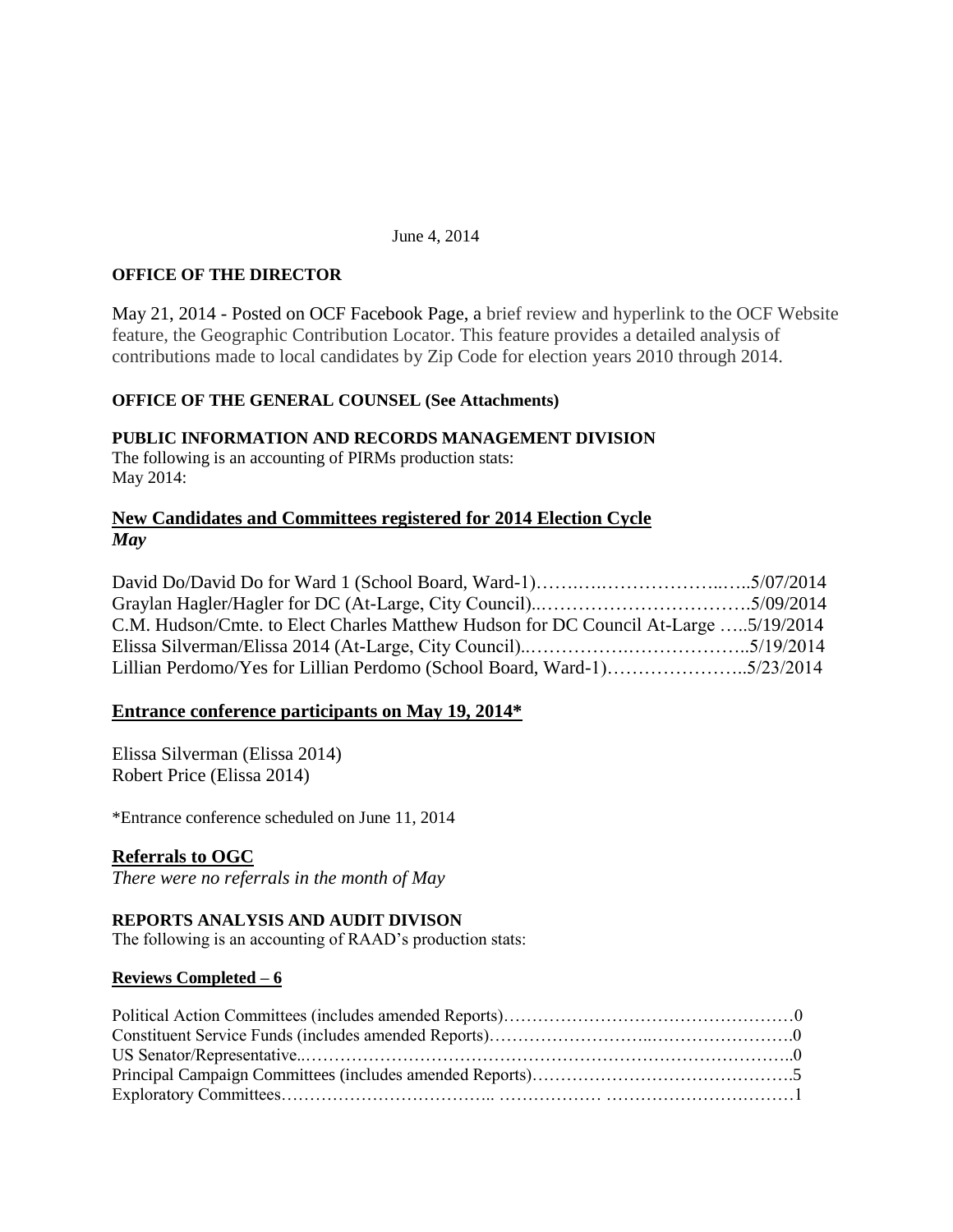#### June 4, 2014

### **OFFICE OF THE DIRECTOR**

May 21, 2014 - Posted on OCF Facebook Page, a brief review and hyperlink to the OCF Website feature, the Geographic Contribution Locator. This feature provides a detailed analysis of contributions made to local candidates by Zip Code for election years 2010 through 2014.

### **OFFICE OF THE GENERAL COUNSEL (See Attachments)**

### **PUBLIC INFORMATION AND RECORDS MANAGEMENT DIVISION**

The following is an accounting of PIRMs production stats: May 2014:

## **New Candidates and Committees registered for 2014 Election Cycle** *May*

David Do/David Do for Ward 1 (School Board, Ward-1)…….….………………..…..5/07/2014 Graylan Hagler/Hagler for DC (At-Large, City Council)..…………………………….5/09/2014 C.M. Hudson/Cmte. to Elect Charles Matthew Hudson for DC Council At-Large …..5/19/2014 Elissa Silverman/Elissa 2014 (At-Large, City Council)..…………….………………..5/19/2014 Lillian Perdomo/Yes for Lillian Perdomo (School Board, Ward-1)…………………..5/23/2014

### **Entrance conference participants on May 19, 2014\***

Elissa Silverman (Elissa 2014) Robert Price (Elissa 2014)

\*Entrance conference scheduled on June 11, 2014

### **Referrals to OGC**

*There were no referrals in the month of May*

## **REPORTS ANALYSIS AND AUDIT DIVISON**

The following is an accounting of RAAD's production stats:

#### **Reviews Completed – 6**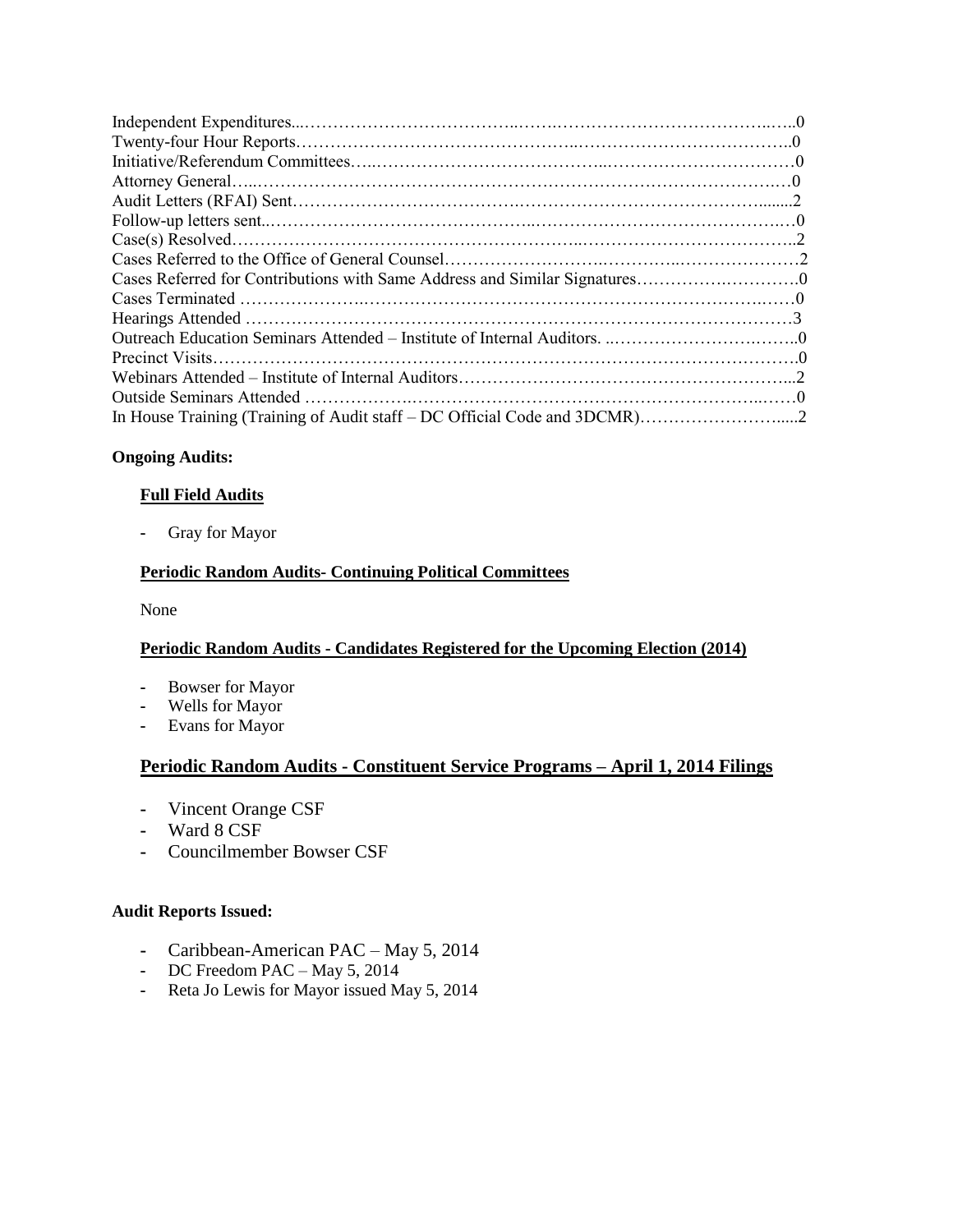| In House Training (Training of Audit staff - DC Official Code and 3DCMR)2 |  |
|---------------------------------------------------------------------------|--|

## **Ongoing Audits:**

## **Full Field Audits**

**-** Gray for Mayor

## **Periodic Random Audits- Continuing Political Committees**

None

## **Periodic Random Audits - Candidates Registered for the Upcoming Election (2014)**

- **-** Bowser for Mayor
- **-** Wells for Mayor
- **-** Evans for Mayor

# **Periodic Random Audits - Constituent Service Programs – April 1, 2014 Filings**

- **-** Vincent Orange CSF
- **-** Ward 8 CSF
- **-** Councilmember Bowser CSF

## **Audit Reports Issued:**

- **-** Caribbean-American PAC May 5, 2014
- **-** DC Freedom PAC May 5, 2014
- **-** Reta Jo Lewis for Mayor issued May 5, 2014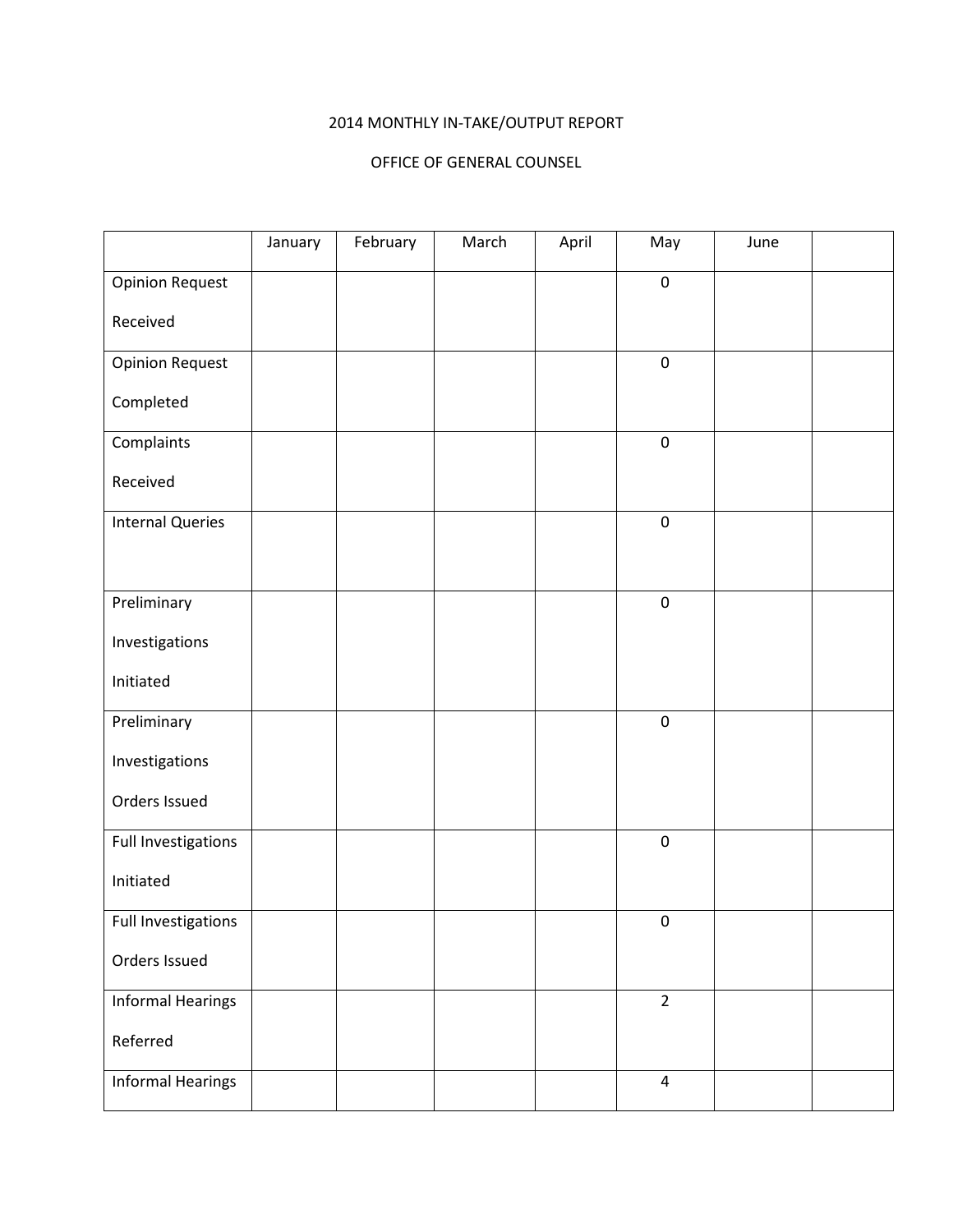# 2014 MONTHLY IN-TAKE/OUTPUT REPORT

### OFFICE OF GENERAL COUNSEL

|                          | January | February | March | April | May                     | June |  |
|--------------------------|---------|----------|-------|-------|-------------------------|------|--|
| <b>Opinion Request</b>   |         |          |       |       | $\boldsymbol{0}$        |      |  |
| Received                 |         |          |       |       |                         |      |  |
| <b>Opinion Request</b>   |         |          |       |       | $\pmb{0}$               |      |  |
| Completed                |         |          |       |       |                         |      |  |
| Complaints               |         |          |       |       | $\pmb{0}$               |      |  |
| Received                 |         |          |       |       |                         |      |  |
| <b>Internal Queries</b>  |         |          |       |       | $\boldsymbol{0}$        |      |  |
|                          |         |          |       |       |                         |      |  |
| Preliminary              |         |          |       |       | $\pmb{0}$               |      |  |
| Investigations           |         |          |       |       |                         |      |  |
| Initiated                |         |          |       |       |                         |      |  |
| Preliminary              |         |          |       |       | $\pmb{0}$               |      |  |
| Investigations           |         |          |       |       |                         |      |  |
| Orders Issued            |         |          |       |       |                         |      |  |
| Full Investigations      |         |          |       |       | $\boldsymbol{0}$        |      |  |
| Initiated                |         |          |       |       |                         |      |  |
| Full Investigations      |         |          |       |       | $\pmb{0}$               |      |  |
| Orders Issued            |         |          |       |       |                         |      |  |
| <b>Informal Hearings</b> |         |          |       |       | $\overline{2}$          |      |  |
| Referred                 |         |          |       |       |                         |      |  |
| <b>Informal Hearings</b> |         |          |       |       | $\overline{\mathbf{4}}$ |      |  |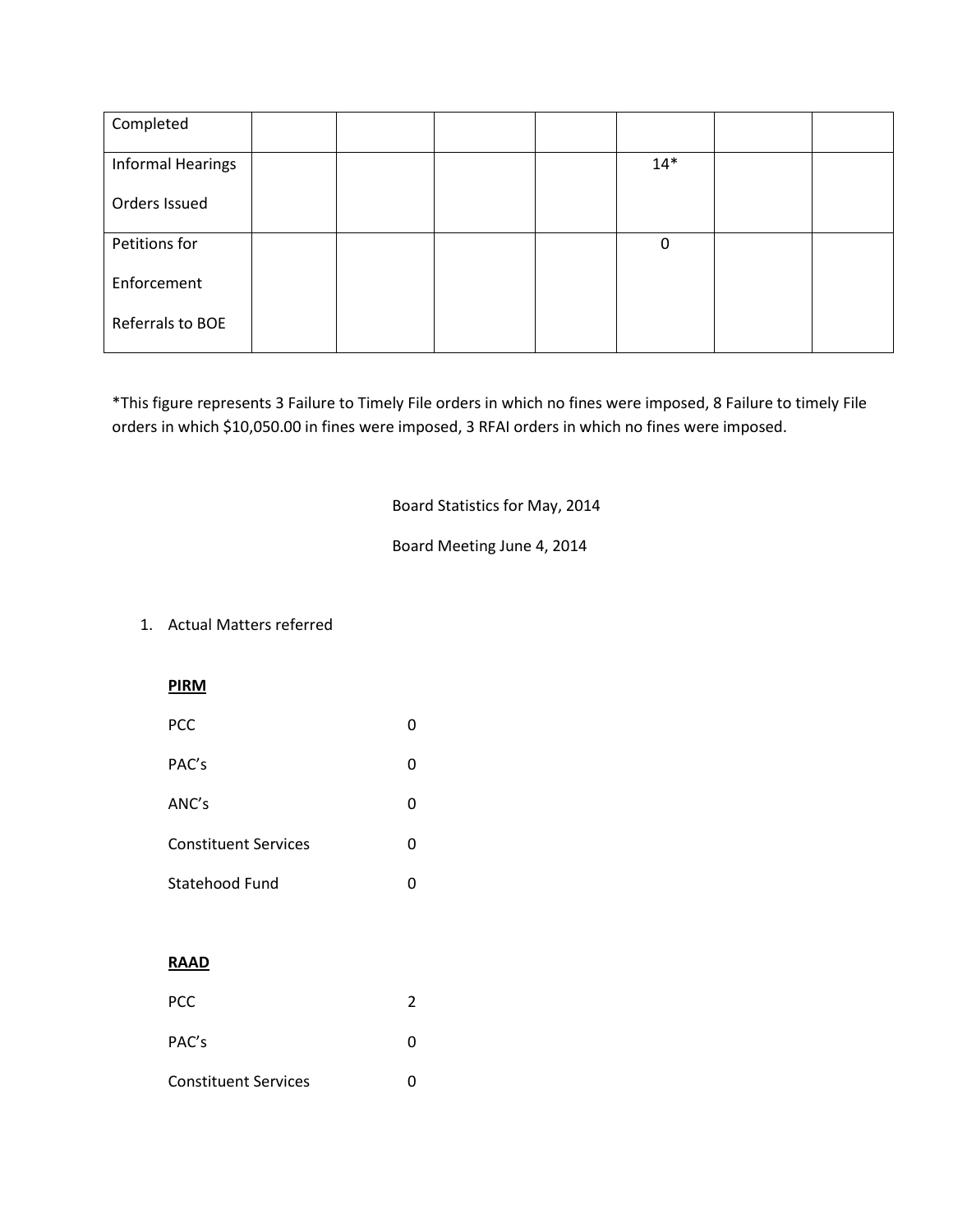| Completed                |  |  |              |  |
|--------------------------|--|--|--------------|--|
| <b>Informal Hearings</b> |  |  | $14*$        |  |
| Orders Issued            |  |  |              |  |
| Petitions for            |  |  | $\mathbf{0}$ |  |
| Enforcement              |  |  |              |  |
| Referrals to BOE         |  |  |              |  |

\*This figure represents 3 Failure to Timely File orders in which no fines were imposed, 8 Failure to timely File orders in which \$10,050.00 in fines were imposed, 3 RFAI orders in which no fines were imposed.

Board Statistics for May, 2014

Board Meeting June 4, 2014

# 1. Actual Matters referred

| <b>PCC</b>                  |   |
|-----------------------------|---|
| PAC's                       | 0 |
| ANC's                       | 0 |
| <b>Constituent Services</b> | O |
|                             |   |

| Statehood Fund |  |
|----------------|--|
|                |  |

## **RAAD**

| PCC                         |  |
|-----------------------------|--|
| PAC's                       |  |
| <b>Constituent Services</b> |  |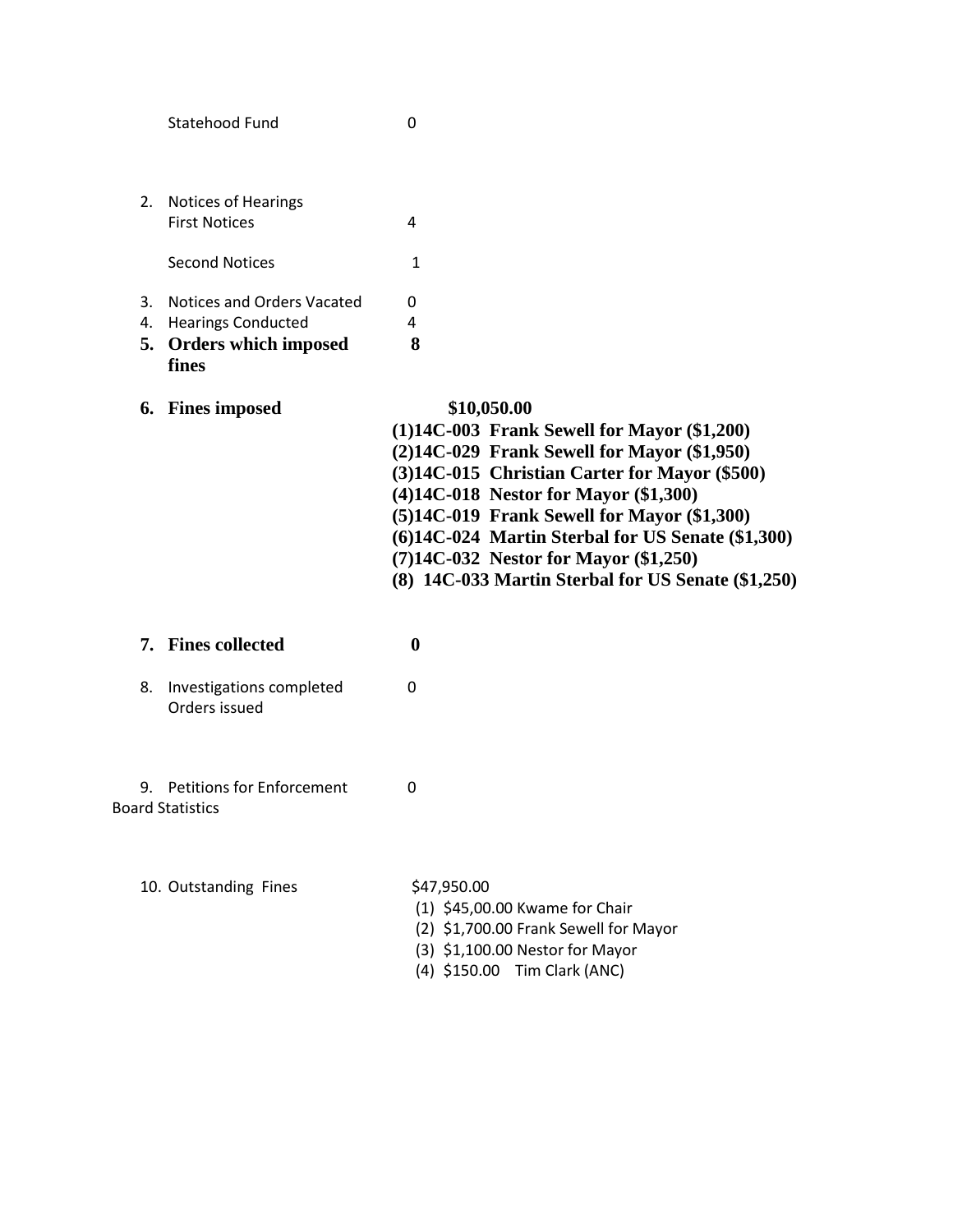|          | Statehood Fund                                                                                     | 0                                                                                                                                                                                                                                                                                                                                                                                                              |
|----------|----------------------------------------------------------------------------------------------------|----------------------------------------------------------------------------------------------------------------------------------------------------------------------------------------------------------------------------------------------------------------------------------------------------------------------------------------------------------------------------------------------------------------|
| 2.       | Notices of Hearings<br><b>First Notices</b>                                                        | 4                                                                                                                                                                                                                                                                                                                                                                                                              |
|          | <b>Second Notices</b>                                                                              | 1                                                                                                                                                                                                                                                                                                                                                                                                              |
| 3.<br>4. | <b>Notices and Orders Vacated</b><br><b>Hearings Conducted</b><br>5. Orders which imposed<br>fines | 0<br>4<br>8                                                                                                                                                                                                                                                                                                                                                                                                    |
|          | 6. Fines imposed                                                                                   | \$10,050.00<br>(1)14C-003 Frank Sewell for Mayor (\$1,200)<br>$(2)14C-029$ Frank Sewell for Mayor $(\$1,950)$<br>(3)14C-015 Christian Carter for Mayor (\$500)<br>(4)14C-018 Nestor for Mayor (\$1,300)<br>(5)14C-019 Frank Sewell for Mayor (\$1,300)<br>(6)14C-024 Martin Sterbal for US Senate (\$1,300)<br>$(7)14C-032$ Nestor for Mayor $(\$1,250)$<br>(8) 14C-033 Martin Sterbal for US Senate (\$1,250) |
|          | 7. Fines collected                                                                                 | $\boldsymbol{0}$                                                                                                                                                                                                                                                                                                                                                                                               |
| 8.       | Investigations completed<br>Orders issued                                                          | 0                                                                                                                                                                                                                                                                                                                                                                                                              |
| 9.       | <b>Petitions for Enforcement</b><br><b>Board Statistics</b>                                        | $\Omega$                                                                                                                                                                                                                                                                                                                                                                                                       |
|          | 10. Outstanding Fines                                                                              | \$47,950.00<br>(1) \$45,00.00 Kwame for Chair                                                                                                                                                                                                                                                                                                                                                                  |

- (2) \$1,700.00 Frank Sewell for Mayor
- (3) \$1,100.00 Nestor for Mayor
- (4) \$150.00 Tim Clark (ANC)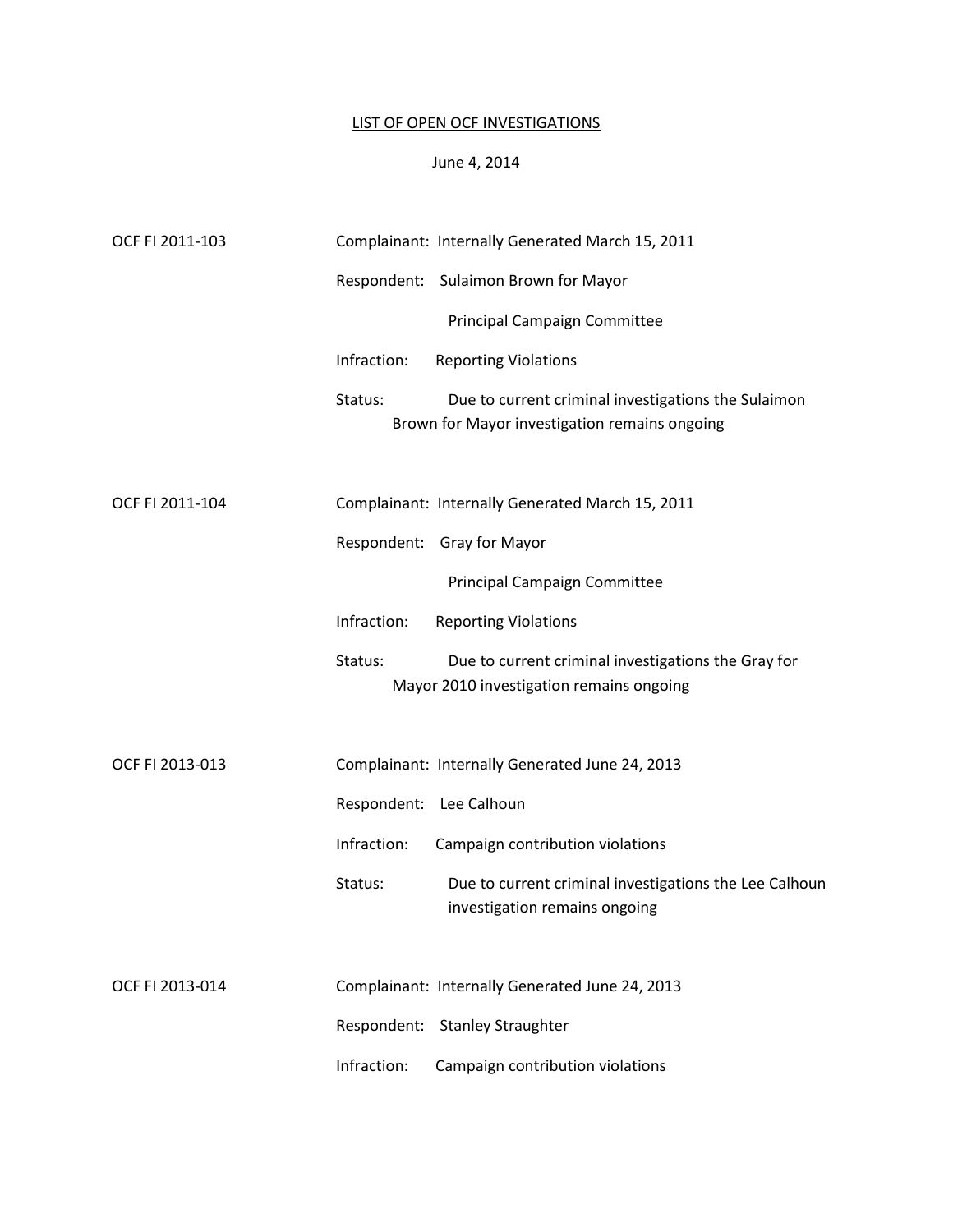## LIST OF OPEN OCF INVESTIGATIONS

### June 4, 2014

| OCF FI 2011-103 |             | Complainant: Internally Generated March 15, 2011                                                     |
|-----------------|-------------|------------------------------------------------------------------------------------------------------|
|                 |             | Respondent: Sulaimon Brown for Mayor                                                                 |
|                 |             | Principal Campaign Committee                                                                         |
|                 | Infraction: | <b>Reporting Violations</b>                                                                          |
|                 | Status:     | Due to current criminal investigations the Sulaimon<br>Brown for Mayor investigation remains ongoing |
|                 |             |                                                                                                      |
| OCF FI 2011-104 |             | Complainant: Internally Generated March 15, 2011                                                     |
|                 |             | Respondent: Gray for Mayor                                                                           |
|                 |             | Principal Campaign Committee                                                                         |
|                 | Infraction: | <b>Reporting Violations</b>                                                                          |
|                 | Status:     | Due to current criminal investigations the Gray for<br>Mayor 2010 investigation remains ongoing      |
| OCF FI 2013-013 |             | Complainant: Internally Generated June 24, 2013                                                      |
|                 |             | Respondent: Lee Calhoun                                                                              |
|                 | Infraction: | Campaign contribution violations                                                                     |
|                 | Status:     | Due to current criminal investigations the Lee Calhoun<br>investigation remains ongoing              |
| OCF FI 2013-014 |             | Complainant: Internally Generated June 24, 2013                                                      |
|                 |             | Respondent: Stanley Straughter                                                                       |
|                 | Infraction: | Campaign contribution violations                                                                     |